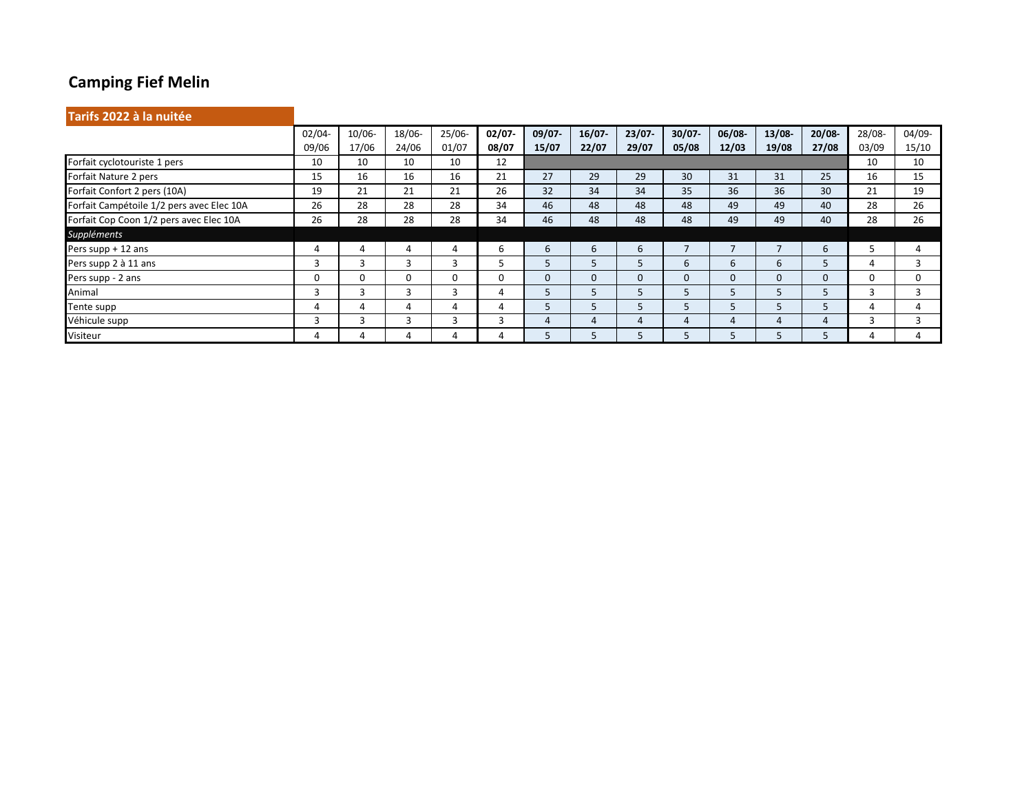## **Camping Fief Melin**

| Tarifs 2022 à la nuitée                   |           |                          |          |           |           |              |          |           |           |           |           |           |        |        |
|-------------------------------------------|-----------|--------------------------|----------|-----------|-----------|--------------|----------|-----------|-----------|-----------|-----------|-----------|--------|--------|
|                                           | $02/04 -$ | $10/06 -$                | 18/06-   | $25/06 -$ | $02/07 -$ | $09/07 -$    | 16/07    | $23/07 -$ | $30/07 -$ | $06/08 -$ | $13/08 -$ | $20/08 -$ | 28/08- | 04/09- |
|                                           | 09/06     | 17/06                    | 24/06    | 01/07     | 08/07     | 15/07        | 22/07    | 29/07     | 05/08     | 12/03     | 19/08     | 27/08     | 03/09  | 15/10  |
| Forfait cyclotouriste 1 pers              | 10        | 10                       | 10       | 10        | 12        |              |          |           |           |           |           |           | 10     | 10     |
| Forfait Nature 2 pers                     | 15        | 16                       | 16       | 16        | 21        | 27           | 29       | 29        | 30        | 31        | 31        | 25        | 16     | 15     |
| Forfait Confort 2 pers (10A)              | 19        | 21                       | 21       | 21        | 26        | 32           | 34       | 34        | 35        | 36        | 36        | 30        | 21     | 19     |
| Forfait Campétoile 1/2 pers avec Elec 10A | 26        | 28                       | 28       | 28        | 34        | 46           | 48       | 48        | 48        | 49        | 49        | 40        | 28     | 26     |
| Forfait Cop Coon 1/2 pers avec Elec 10A   | 26        | 28                       | 28       | 28        | 34        | 46           | 48       | 48        | 48        | 49        | 49        | 40        | 28     | 26     |
| Suppléments                               |           |                          |          |           |           |              |          |           |           |           |           |           |        |        |
| Pers supp + 12 ans                        | 4         | 4                        | 4        | 4         | 6         | 6            | 6        | 6         |           |           |           | 6         |        | 4      |
| Pers supp 2 à 11 ans                      | 3         |                          | 3        | 3         | ר         |              |          | 5         | 6         | 6         | 6         |           | 4      | 3      |
| Pers supp - 2 ans                         | 0         | $\Omega$                 | $\Omega$ | 0         | 0         | $\mathbf{0}$ | $\Omega$ | $\Omega$  | 0         | 0         | 0         | $\Omega$  | 0      | 0      |
| Animal                                    | 3         | $\overline{\phantom{0}}$ | 3        | 3         | 4         |              |          | 5         | 5         | 5         |           |           | 3      | 3      |
| Tente supp                                | 4         | Δ                        | 4        | 4         | 4         |              |          | 5         | ל         | ל         |           |           | 4      | 4      |
| Véhicule supp                             | 3         | 3                        | 3        | 3         | 3         | 4            | 4        | 4         |           |           | 4         |           | 3      | 3      |
| Visiteur                                  | 4         |                          | 4        | 4         |           |              |          | 5         | Ы         |           |           |           | 4      | Д      |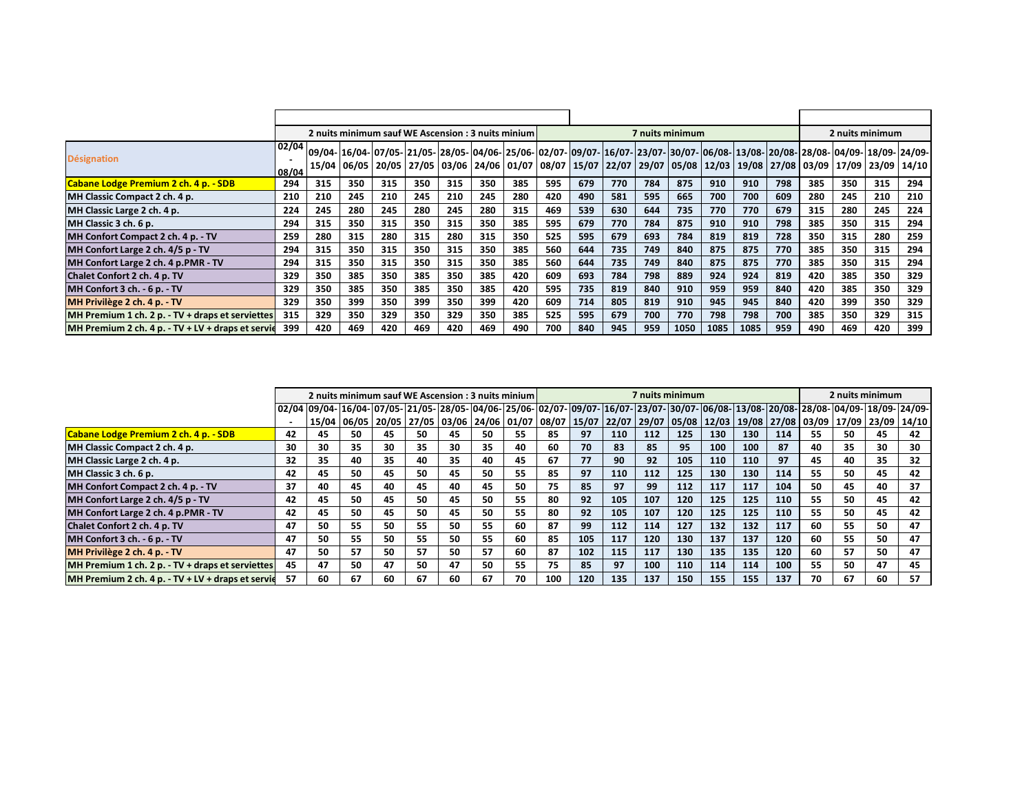|                                                   |                |     | 2 nuits minimum sauf WE Ascension: 3 nuits minium |     |     |     |     |     |     |     |     | 7 nuits minimum | 2 nuits minimum |      |      |     |     |     |     |                                                                                                                                                                                                                                                            |  |  |
|---------------------------------------------------|----------------|-----|---------------------------------------------------|-----|-----|-----|-----|-----|-----|-----|-----|-----------------|-----------------|------|------|-----|-----|-----|-----|------------------------------------------------------------------------------------------------------------------------------------------------------------------------------------------------------------------------------------------------------------|--|--|
| <b>Désignation</b>                                | 02/04<br>08/04 |     |                                                   |     |     |     |     |     |     |     |     |                 |                 |      |      |     |     |     |     | 09/04- 16/04- 07/05- 21/05- 28/05- 04/06- 25/06- 02/07- 09/07- 16/07- 23/07- 30/07- 06/08- 13/08- 20/08- 28/08- 04/09- 18/09- 24/09- <br>15/04 06/05 20/05 27/05 03/06 24/06 01/07 08/07 15/07 22/07 29/07 05/08 12/03 19/08 27/08 03/09 17/09 23/09 14/10 |  |  |
| Cabane Lodge Premium 2 ch. 4 p. - SDB             | 294            | 315 | 350                                               | 315 | 350 | 315 | 350 | 385 | 595 | 679 | 770 | 784             | 875             | 910  | 910  | 798 | 385 | 350 | 315 | 294                                                                                                                                                                                                                                                        |  |  |
| MH Classic Compact 2 ch. 4 p.                     | 210            | 210 | 245                                               | 210 | 245 | 210 | 245 | 280 | 420 | 490 | 581 | 595             | 665             | 700  | 700  | 609 | 280 | 245 | 210 | 210                                                                                                                                                                                                                                                        |  |  |
| MH Classic Large 2 ch. 4 p.                       | 224            | 245 | 280                                               | 245 | 280 | 245 | 280 | 315 | 469 | 539 | 630 | 644             | 735             | 770  | 770  | 679 | 315 | 280 | 245 | 224                                                                                                                                                                                                                                                        |  |  |
| MH Classic 3 ch. 6 p.                             | 294            | 315 | 350                                               | 315 | 350 | 315 | 350 | 385 | 595 | 679 | 770 | 784             | 875             | 910  | 910  | 798 | 385 | 350 | 315 | 294                                                                                                                                                                                                                                                        |  |  |
| MH Confort Compact 2 ch. 4 p. - TV                | 259            | 280 | 315                                               | 280 | 315 | 280 | 315 | 350 | 525 | 595 | 679 | 693             | 784             | 819  | 819  | 728 | 350 | 315 | 280 | 259                                                                                                                                                                                                                                                        |  |  |
| MH Confort Large 2 ch. 4/5 p - TV                 | 294            | 315 | 350                                               | 315 | 350 | 315 | 350 | 385 | 560 | 644 | 735 | 749             | 840             | 875  | 875  | 770 | 385 | 350 | 315 | 294                                                                                                                                                                                                                                                        |  |  |
| MH Confort Large 2 ch. 4 p.PMR - TV               | 294            | 315 | 350                                               | 315 | 350 | 315 | 350 | 385 | 560 | 644 | 735 | 749             | 840             | 875  | 875  | 770 | 385 | 350 | 315 | 294                                                                                                                                                                                                                                                        |  |  |
| Chalet Confort 2 ch. 4 p. TV                      | 329            | 350 | 385                                               | 350 | 385 | 350 | 385 | 420 | 609 | 693 | 784 | 798             | 889             | 924  | 924  | 819 | 420 | 385 | 350 | 329                                                                                                                                                                                                                                                        |  |  |
| MH Confort 3 ch. - 6 p. - TV                      | 329            | 350 | 385                                               | 350 | 385 | 350 | 385 | 420 | 595 | 735 | 819 | 840             | 910             | 959  | 959  | 840 | 420 | 385 | 350 | 329                                                                                                                                                                                                                                                        |  |  |
| MH Privilège 2 ch. 4 p. - TV                      | 329            | 350 | 399                                               | 350 | 399 | 350 | 399 | 420 | 609 | 714 | 805 | 819             | 910             | 945  | 945  | 840 | 420 | 399 | 350 | 329                                                                                                                                                                                                                                                        |  |  |
| MH Premium 1 ch. 2 p. - TV + draps et serviettes  | 315            | 329 | 350                                               | 329 | 350 | 329 | 350 | 385 | 525 | 595 | 679 | 700             | 770             | 798  | 798  | 700 | 385 | 350 | 329 | 315                                                                                                                                                                                                                                                        |  |  |
| MH Premium 2 ch. 4 p. - TV + LV + draps et servie | 399            | 420 | 469                                               | 420 | 469 | 420 | 469 | 490 | 700 | 840 | 945 | 959             | 1050            | 1085 | 1085 | 959 | 490 | 469 | 420 | 399                                                                                                                                                                                                                                                        |  |  |

|                                                   |    |                                                                                                                                                          |    | 2 nuits minimum sauf WE Ascension : 3 nuits minium |    |    |    |    |     |     | 7 nuits minimum |     | 2 nuits minimum |     |     |     |     |    |                                                                                                                   |    |
|---------------------------------------------------|----|----------------------------------------------------------------------------------------------------------------------------------------------------------|----|----------------------------------------------------|----|----|----|----|-----|-----|-----------------|-----|-----------------|-----|-----|-----|-----|----|-------------------------------------------------------------------------------------------------------------------|----|
|                                                   |    | 02/04 09/04- 16/04- 07/05- 21/05- 28/05- 04/06- 25/06- 02/07- 09/07- 16/07- 23/07- 30/07- 106/08- 13/08- 120/08- 128/08- 104/09- 118/09- 124/09- 124/09- |    |                                                    |    |    |    |    |     |     |                 |     |                 |     |     |     |     |    |                                                                                                                   |    |
|                                                   |    |                                                                                                                                                          |    |                                                    |    |    |    |    |     |     |                 |     |                 |     |     |     |     |    | 15/04 06/05 20/05 27/05 03/06 24/06 01/07 08/07 15/07 22/07 29/07 05/08 12/03 19/08 27/08 03/09 17/09 23/09 14/10 |    |
| Cabane Lodge Premium 2 ch. 4 p. - SDB             | 42 | 45                                                                                                                                                       | 50 | 45.                                                | 50 | 45 | 50 | 55 | 85  | 97  | 110             | 112 | 125             | 130 | 130 | 114 | 55  | 50 | 45                                                                                                                | 42 |
| MH Classic Compact 2 ch. 4 p.                     | 30 | 30                                                                                                                                                       | 35 | 30                                                 | 35 | 30 | 35 | 40 | 60  | 70  | 83              | 85  | 95              | 100 | 100 | 87  | 40  | 35 | 30                                                                                                                | 30 |
| MH Classic Large 2 ch. 4 p.                       | 32 | 35                                                                                                                                                       | 40 | 35                                                 | 40 | 35 | 40 | 45 | 67  | 77  | 90              | 92  | 105             | 110 | 110 | 97  | 45  | 40 | 35                                                                                                                | 32 |
| MH Classic 3 ch. 6 p.                             | 42 | 45                                                                                                                                                       | 50 | 45                                                 | 50 | 45 | 50 | 55 | 85  | 97  | 110             | 112 | 125             | 130 | 130 | 114 | 55  | 50 | 45                                                                                                                | 42 |
| MH Confort Compact 2 ch. 4 p. - TV                | 37 | 40                                                                                                                                                       | 45 | 40                                                 | 45 | 40 | 45 | 50 | 75  | 85  | 97              | 99  | 112             | 117 | 117 | 104 | 50  | 45 | 40                                                                                                                | 37 |
| MH Confort Large 2 ch. 4/5 p - TV                 | 42 | 45                                                                                                                                                       | 50 | 45                                                 | 50 | 45 | 50 | 55 | 80  | 92  | 105             | 107 | 120             | 125 | 125 | 110 | 55  | 50 | 45                                                                                                                | 42 |
| MH Confort Large 2 ch. 4 p.PMR - TV               | 42 | 45                                                                                                                                                       | 50 | 45                                                 | 50 | 45 | 50 | 55 | 80  | 92  | 105             | 107 | 120             | 125 | 125 | 110 | 55  | 50 | 45                                                                                                                | 42 |
| Chalet Confort 2 ch. 4 p. TV                      | 47 | 50                                                                                                                                                       | 55 | 50                                                 | 55 | 50 | 55 | 60 | 87  | 99  | 112             | 114 | 127             | 132 | 132 | 117 | 60  | 55 | 50                                                                                                                | 47 |
| MH Confort 3 ch. - 6 p. - TV                      | 47 | 50                                                                                                                                                       | 55 | 50                                                 | 55 | 50 | 55 | 60 | 85  | 105 | 117             | 120 | 130             | 137 | 137 | 120 | -60 | 55 | 50                                                                                                                | 47 |
| MH Privilège 2 ch. 4 p. - TV                      | 47 | 50                                                                                                                                                       | 57 | 50                                                 | 57 | 50 | 57 | 60 | 87  | 102 | 115             | 117 | 130             | 135 | 135 | 120 | 60  | 57 | 50                                                                                                                | 47 |
| MH Premium 1 ch. 2 p. - TV + draps et serviettes  | 45 | 47                                                                                                                                                       | 50 | 47                                                 | 50 | 47 | 50 | 55 | 75  | 85  | 97              | 100 | 110             | 114 | 114 | 100 | 55  | 50 | 47                                                                                                                | 45 |
| MH Premium 2 ch. 4 p. - TV + LV + draps et servie | 57 | 60                                                                                                                                                       | 67 | 60                                                 | 67 | 60 | 67 | 70 | 100 | 120 | 135             | 137 | 150             | 155 | 155 | 137 | 70  | 67 | 60                                                                                                                | 57 |